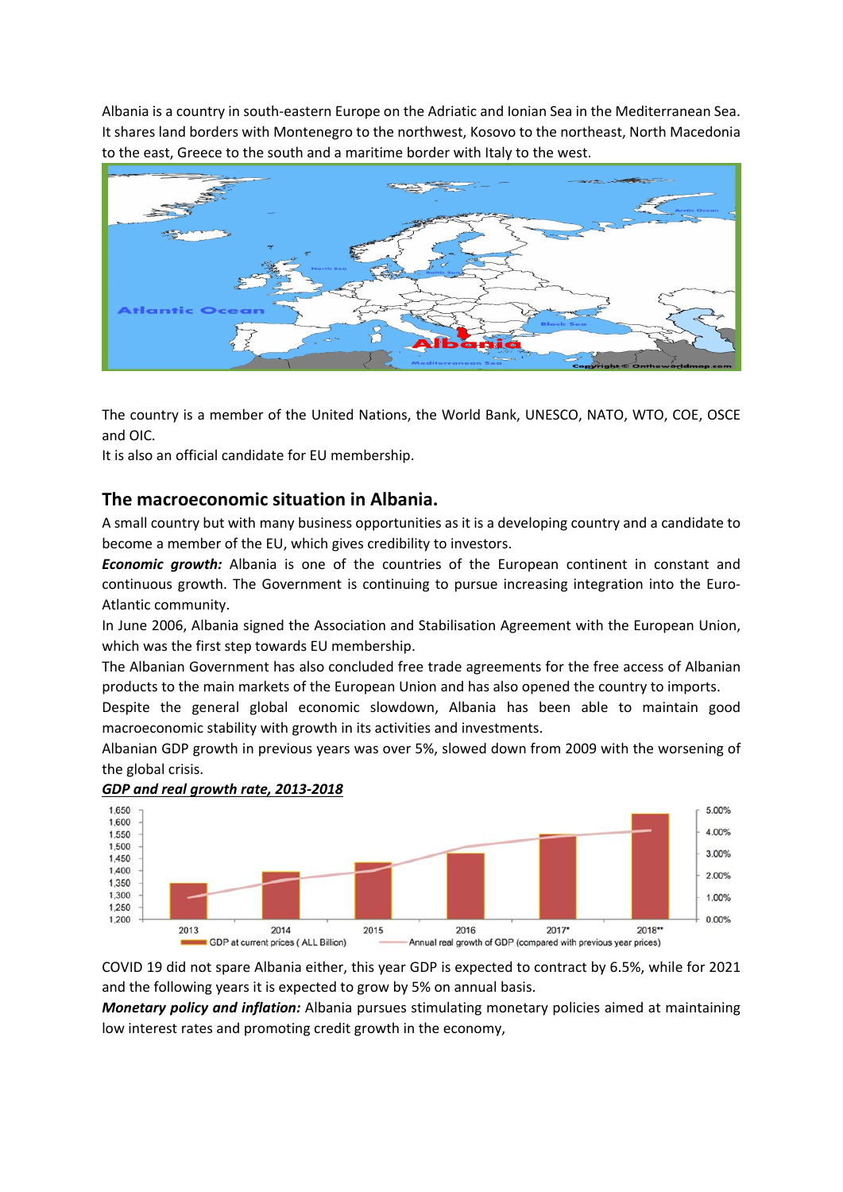Albania is a country in south‐eastern Europe on the Adriatic and Ionian Sea in the Mediterranean Sea. It shares land borders with Montenegro to the northwest, Kosovo to the northeast, North Macedonia to the east, Greece to the south and a maritime border with Italy to the west.



The country is a member of the United Nations, the World Bank, UNESCO, NATO, WTO, COE, OSCE and OIC.

It is also an official candidate for EU membership.

# **The macroeconomic situation in Albania.**

A small country but with many business opportunities as it is a developing country and a candidate to become a member of the EU, which gives credibility to investors.

*Economic growth:* Albania is one of the countries of the European continent in constant and continuous growth. The Government is continuing to pursue increasing integration into the Euro-Atlantic community.

In June 2006, Albania signed the Association and Stabilisation Agreement with the European Union, which was the first step towards EU membership.

The Albanian Government has also concluded free trade agreements for the free access of Albanian products to the main markets of the European Union and has also opened the country to imports.

Despite the general global economic slowdown, Albania has been able to maintain good macroeconomic stability with growth in its activities and investments.

Albanian GDP growth in previous years was over 5%, slowed down from 2009 with the worsening of the global crisis.



### *GDP and real growth rate, 2013‐2018*

COVID 19 did not spare Albania either, this year GDP is expected to contract by 6.5%, while for 2021 and the following years it is expected to grow by 5% on annual basis.

*Monetary policy and inflation:* Albania pursues stimulating monetary policies aimed at maintaining low interest rates and promoting credit growth in the economy,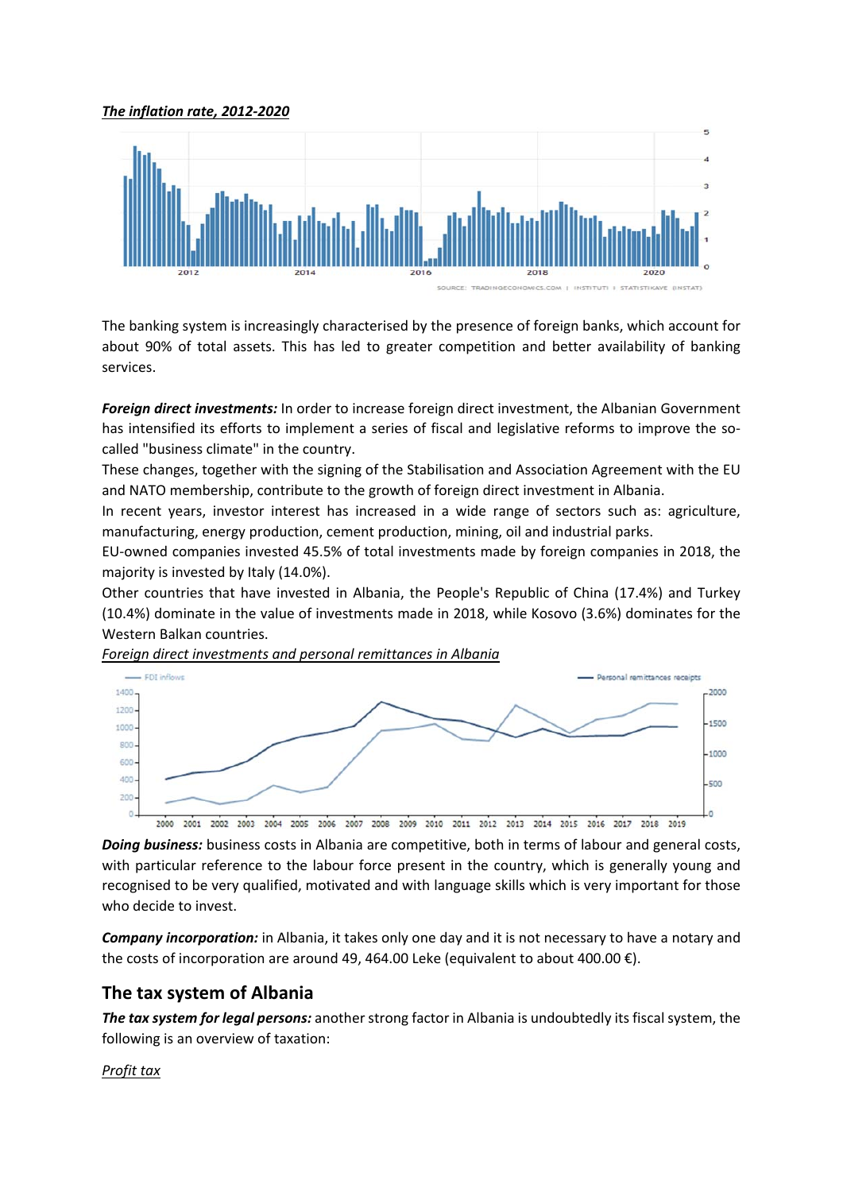### *The inflation rate, 2012‐2020*



The banking system is increasingly characterised by the presence of foreign banks, which account for about 90% of total assets. This has led to greater competition and better availability of banking services.

*Foreign direct investments:* In order to increase foreign direct investment, the Albanian Government has intensified its efforts to implement a series of fiscal and legislative reforms to improve the socalled "business climate" in the country.

These changes, together with the signing of the Stabilisation and Association Agreement with the EU and NATO membership, contribute to the growth of foreign direct investment in Albania.

In recent years, investor interest has increased in a wide range of sectors such as: agriculture, manufacturing, energy production, cement production, mining, oil and industrial parks.

EU‐owned companies invested 45.5% of total investments made by foreign companies in 2018, the majority is invested by Italy (14.0%).

Other countries that have invested in Albania, the People's Republic of China (17.4%) and Turkey (10.4%) dominate in the value of investments made in 2018, while Kosovo (3.6%) dominates for the Western Balkan countries.

*Foreign direct investments and personal remittances in Albania* 



*Doing business:* business costs in Albania are competitive, both in terms of labour and general costs, with particular reference to the labour force present in the country, which is generally voung and recognised to be very qualified, motivated and with language skills which is very important for those who decide to invest.

*Company incorporation:* in Albania, it takes only one day and it is not necessary to have a notary and the costs of incorporation are around 49, 464.00 Leke (equivalent to about 400.00  $\epsilon$ ).

# **The tax system of Albania**

*The tax system for legal persons:* another strong factor in Albania is undoubtedly its fiscal system, the following is an overview of taxation:

## *Profit tax*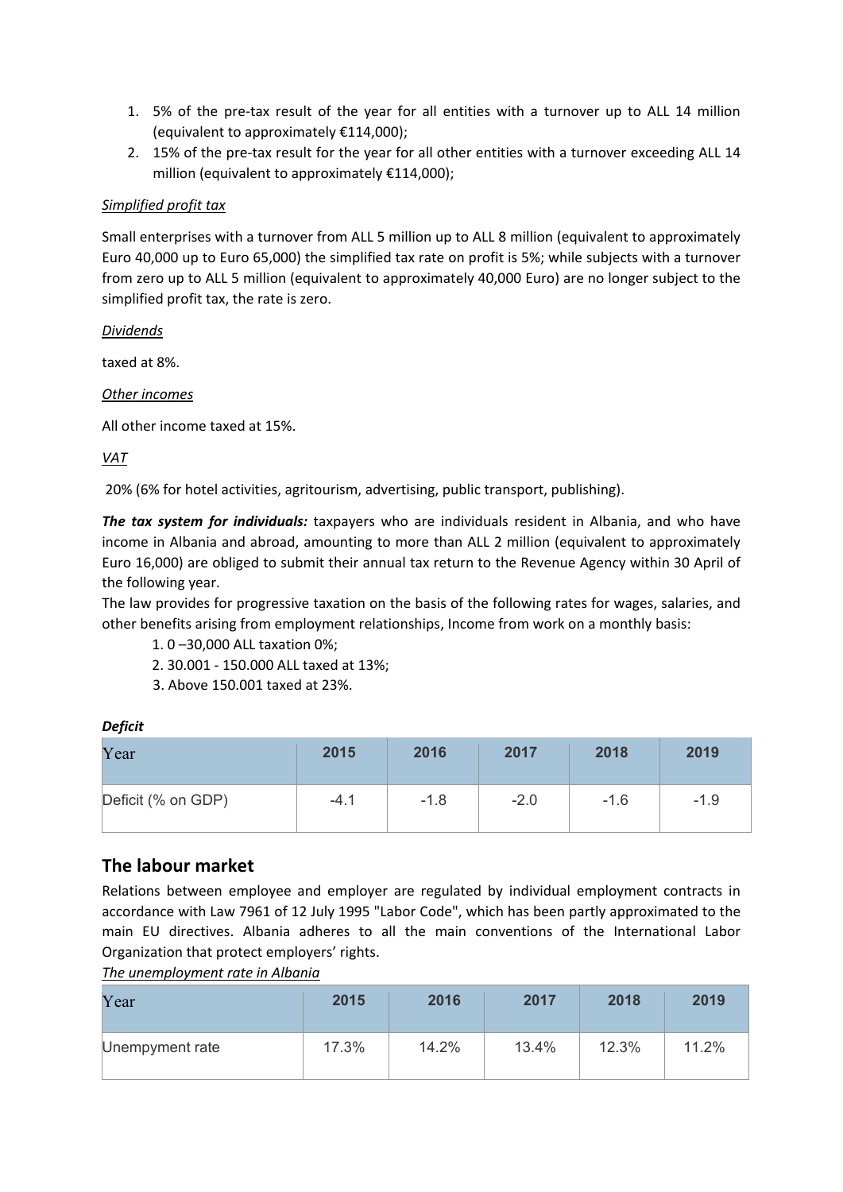- 1. 5% of the pre-tax result of the year for all entities with a turnover up to ALL 14 million (equivalent to approximately €114,000);
- 2. 15% of the pre-tax result for the year for all other entities with a turnover exceeding ALL 14 million (equivalent to approximately €114,000);

## *Simplified profit tax*

Small enterprises with a turnover from ALL 5 million up to ALL 8 million (equivalent to approximately Euro 40,000 up to Euro 65,000) the simplified tax rate on profit is 5%; while subjects with a turnover from zero up to ALL 5 million (equivalent to approximately 40,000 Euro) are no longer subject to the simplified profit tax, the rate is zero.

*Dividends* 

taxed at 8%.

*Other incomes* 

All other income taxed at 15%.

*VAT* 

20% (6% for hotel activities, agritourism, advertising, public transport, publishing).

*The tax system for individuals:* taxpayers who are individuals resident in Albania, and who have income in Albania and abroad, amounting to more than ALL 2 million (equivalent to approximately Euro 16,000) are obliged to submit their annual tax return to the Revenue Agency within 30 April of the following year.

The law provides for progressive taxation on the basis of the following rates for wages, salaries, and other benefits arising from employment relationships, Income from work on a monthly basis:

1. 0 –30,000 ALL taxation 0%;

- 2. 30.001 ‐ 150.000 ALL taxed at 13%;
- 3. Above 150.001 taxed at 23%.

### *Deficit*

| Year               | 2015   | 2016   | 2017   | 2018   | 2019   |
|--------------------|--------|--------|--------|--------|--------|
| Deficit (% on GDP) | $-4.1$ | $-1.8$ | $-2.0$ | $-1.6$ | $-1.9$ |

# **The labour market**

Relations between employee and employer are regulated by individual employment contracts in accordance with Law 7961 of 12 July 1995 "Labor Code", which has been partly approximated to the main EU directives. Albania adheres to all the main conventions of the International Labor Organization that protect employers' rights.

*The unemployment rate in Albania* 

| Year            | 2015  | 2016  | 2017  | 2018  | 2019  |
|-----------------|-------|-------|-------|-------|-------|
| Unempyment rate | 17.3% | 14.2% | 13.4% | 12.3% | 11.2% |